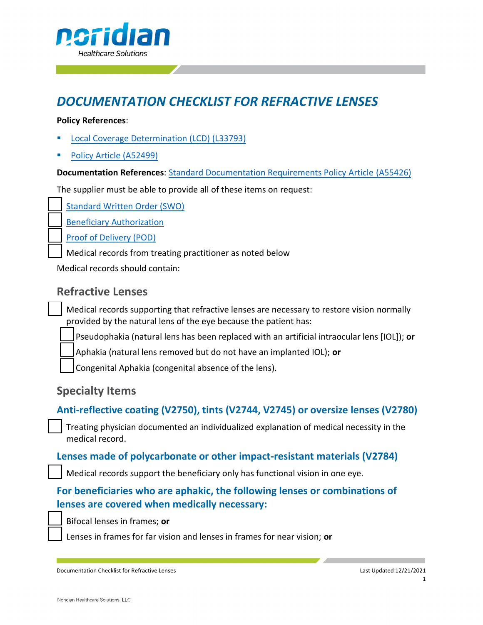

# *DOCUMENTATION CHECKLIST FOR REFRACTIVE LENSES*

#### **Policy References**:

- § [Local Coverage](https://www.cms.gov/medicare-coverage-database/view/lcd.aspx?LCDId=33793) Determination (LCD) (L33793)
- § [Policy Article \(A52499\)](https://www.cms.gov/medicare-coverage-database/view/article.aspx?articleId=52499)

**Documentation References**: Standard [Documentation](https://www.cms.gov/medicare-coverage-database/details/article-details.aspx?articleid=55426) Requirements Policy Article (A55426)

The supplier must be able to provide all of these items on request:

[Standard Written Order \(SWO\)](https://www.cms.gov/medicare-coverage-database/details/article-details.aspx?articleid=55426)

Beneficiary [Authorization](https://med.noridianmedicare.com/web/jadme/topics/documentation/beneficiary-authorization)

[Proof of Delivery \(POD\)](https://www.cms.gov/medicare-coverage-database/details/article-details.aspx?articleid=55426)

Medical records from treating practitioner as noted below

Medical records should contain:

# **Refractive Lenses**

Medical records supporting that refractive lenses are necessary to restore vision normally provided by the natural lens of the eye because the patient has:

Pseudophakia (natural lens has been replaced with an artificial intraocular lens [IOL]); **or**

Aphakia (natural lens removed but do not have an implanted IOL); **or**

Congenital Aphakia (congenital absence of the lens).

# **Specialty Items**

#### **Anti-reflective coating (V2750), tints (V2744, V2745) or oversize lenses (V2780)**

Treating physician documented an individualized explanation of medical necessity in the medical record.

#### **Lenses made of polycarbonate or other impact-resistant materials (V2784)**

Medical records support the beneficiary only has functional vision in one eye.

# **For beneficiaries who are aphakic, the following lenses or combinations of lenses are covered when medically necessary:**

Bifocal lenses in frames; **or**

Lenses in frames for far vision and lenses in frames for near vision; **or**